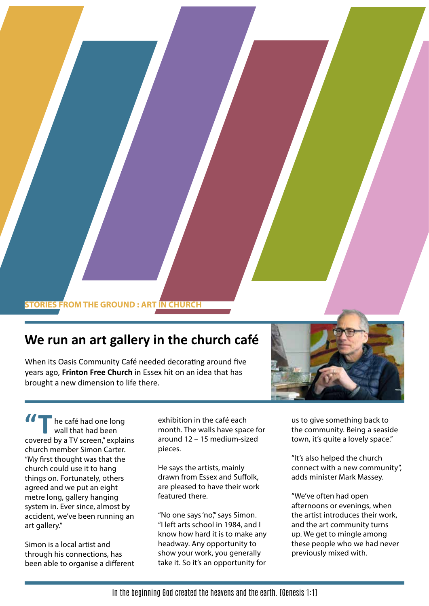## **STORIES FROM THE GROUND : ART IN CHURCH**

## **We run an art gallery in the church café**

When its Oasis Community Café needed decorating around five years ago, **Frinton Free Church** in Essex hit on an idea that has brought a new dimension to life there.



he café had one long wall that had been **11** The café had one long<br>
wall that had been<br>
covered by a TV screen," explains church member Simon Carter. "My first thought was that the church could use it to hang things on. Fortunately, others agreed and we put an eight metre long, gallery hanging system in. Ever since, almost by accident, we've been running an art gallery."

Simon is a local artist and through his connections, has been able to organise a different

exhibition in the café each month. The walls have space for around 12 – 15 medium-sized pieces.

He says the artists, mainly drawn from Essex and Suffolk, are pleased to have their work featured there.

"No one says 'no", says Simon. "I left arts school in 1984, and I know how hard it is to make any headway. Any opportunity to show your work, you generally take it. So it's an opportunity for

us to give something back to the community. Being a seaside town, it's quite a lovely space."

"It's also helped the church connect with a new community", adds minister Mark Massey.

"We've often had open afternoons or evenings, when the artist introduces their work, and the art community turns up. We get to mingle among these people who we had never previously mixed with.